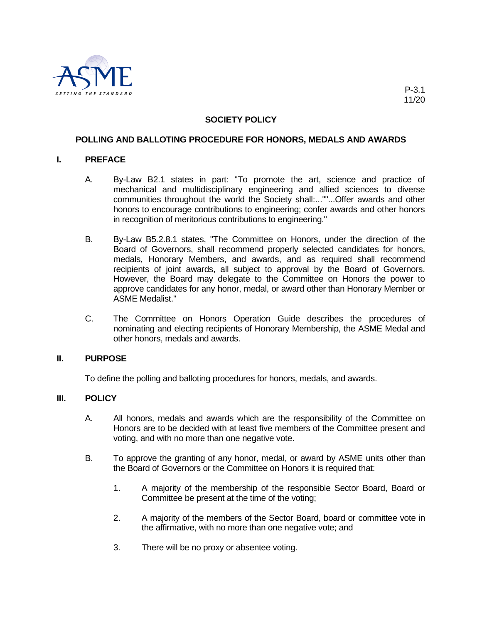

# **SOCIETY POLICY**

## **POLLING AND BALLOTING PROCEDURE FOR HONORS, MEDALS AND AWARDS**

## **I. PREFACE**

- A. By-Law B2.1 states in part: "To promote the art, science and practice of mechanical and multidisciplinary engineering and allied sciences to diverse communities throughout the world the Society shall:...""...Offer awards and other honors to encourage contributions to engineering; confer awards and other honors in recognition of meritorious contributions to engineering."
- B. By-Law B5.2.8.1 states, "The Committee on Honors, under the direction of the Board of Governors, shall recommend properly selected candidates for honors, medals, Honorary Members, and awards, and as required shall recommend recipients of joint awards, all subject to approval by the Board of Governors. However, the Board may delegate to the Committee on Honors the power to approve candidates for any honor, medal, or award other than Honorary Member or ASME Medalist."
- C. The Committee on Honors Operation Guide describes the procedures of nominating and electing recipients of Honorary Membership, the ASME Medal and other honors, medals and awards.

#### **II. PURPOSE**

To define the polling and balloting procedures for honors, medals, and awards.

#### **III. POLICY**

- A. All honors, medals and awards which are the responsibility of the Committee on Honors are to be decided with at least five members of the Committee present and voting, and with no more than one negative vote.
- B. To approve the granting of any honor, medal, or award by ASME units other than the Board of Governors or the Committee on Honors it is required that:
	- 1. A majority of the membership of the responsible Sector Board, Board or Committee be present at the time of the voting;
	- 2. A majority of the members of the Sector Board, board or committee vote in the affirmative, with no more than one negative vote; and
	- 3. There will be no proxy or absentee voting.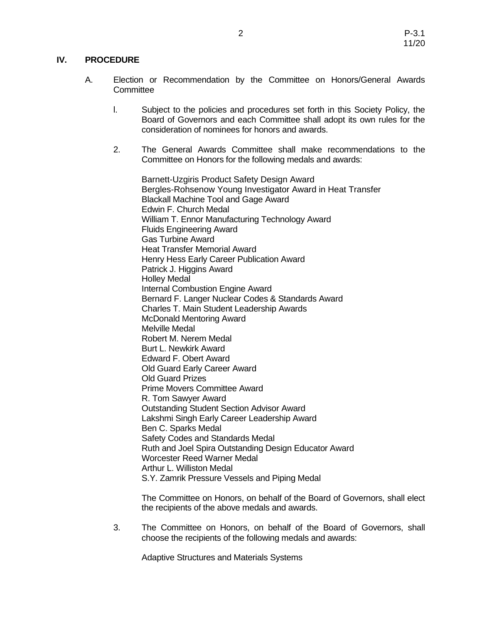## **IV. PROCEDURE**

- A. Election or Recommendation by the Committee on Honors/General Awards **Committee** 
	- l. Subject to the policies and procedures set forth in this Society Policy, the Board of Governors and each Committee shall adopt its own rules for the consideration of nominees for honors and awards.
	- 2. The General Awards Committee shall make recommendations to the Committee on Honors for the following medals and awards:

[Barnett-Uzgiris Product Safety](http://www.asme.org/Governance/Honors/SocietyAwards/BarnettUzgiris_Product_Safety.cfm) Design Award Bergles-Rohsenow Young Investigator Award in Heat Transfer Blackall Machine Tool and Gage Award Edwin F. Church Medal William T. Ennor Manufacturing Technology Award Fluids Engineering Award Gas Turbine Award Heat Transfer Memorial Award Henry Hess Early Career Publication Award Patrick J. Higgins Award Holley Medal Internal Combustion Engine Award Bernard F. Langer Nuclear Codes & Standards Award Charles T. Main Student Leadership Awards McDonald Mentoring Award Melville Medal Robert M. Nerem Medal Burt L. Newkirk Award Edward F. Obert Award Old Guard Early Career Award Old Guard Prizes Prime Movers Committee Award R. Tom Sawyer Award Outstanding Student Section Advisor Award Lakshmi Singh Early Career Leadership Award Ben C. Sparks Medal Safety Codes and Standards Medal Ruth and Joel Spira Outstanding Design Educator Award Worcester Reed Warner Medal Arthur L. Williston Medal S.Y. Zamrik Pressure Vessels and Piping Medal

The Committee on Honors, on behalf of the Board of Governors, shall elect the recipients of the above medals and awards.

3. The Committee on Honors, on behalf of the Board of Governors, shall choose the recipients of the following medals and awards:

Adaptive Structures and Materials Systems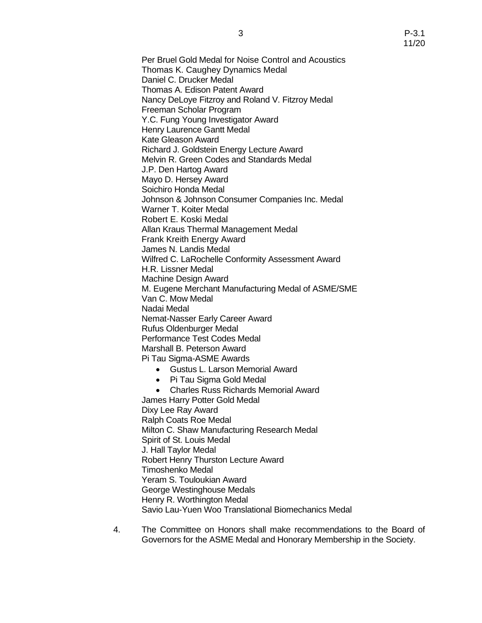Per Bruel Gold Medal [for Noise Control and Acoustics](http://www.asme.org/Governance/Honors/SocietyAwards/Per_Bruel_Gold_Medal_Noise.cfm) Thomas K. Caughey Dynamics Medal Daniel C. Drucker Medal Thomas A. Edison Patent Award Nancy DeLoye Fitzroy and Roland V. Fitzroy Medal Freeman Scholar Program Y.C. Fung Young Investigator Award Henry Laurence Gantt Medal Kate Gleason Award Richard J. Goldstein Energy Lecture Award Melvin R. Green Codes and Standards Medal J.P. Den Hartog Award Mayo D. Hersey Award Soichiro Honda Medal Johnson & Johnson Consumer Companies Inc. Medal Warner T. Koiter Medal Robert E. Koski Medal Allan Kraus [Thermal Management Medal](http://www.asme.org/Governance/Honors/SocietyAwards/Allan_Kraus_Thermal.cfm) Frank Kreith Energy Award James N. Landis Medal Wilfred C. LaRochelle Conformity Assessment Award H.R. Lissner Medal Machine Design Award M. Eugene Merchant Manufacturing Medal of ASME/SME Van C. Mow Medal Nadai Medal Nemat-Nasser Early Career Award Rufus Oldenburger Medal Performance Test Codes Medal Marshall B. Peterson Award Pi Tau Sigma-ASME Awards • Gustus L. Larson Memorial Award • Pi Tau Sigma Gold Medal

• Charles Russ Richards Memorial Award James Harry Potter Gold Medal Dixy Lee Ray Award Ralph Coats Roe Medal Milton C. Shaw Manufacturing Research Medal Spirit of St. Louis Medal J. Hall Taylor Medal Robert Henry Thurston Lecture Award Timoshenko Medal Yeram S. Touloukian Award George Westinghouse Medals Henry R. Worthington Medal Savio Lau-Yuen Woo Translational Biomechanics Medal

4. The Committee on Honors shall make recommendations to the Board of Governors for the ASME Medal and Honorary Membership in the Society.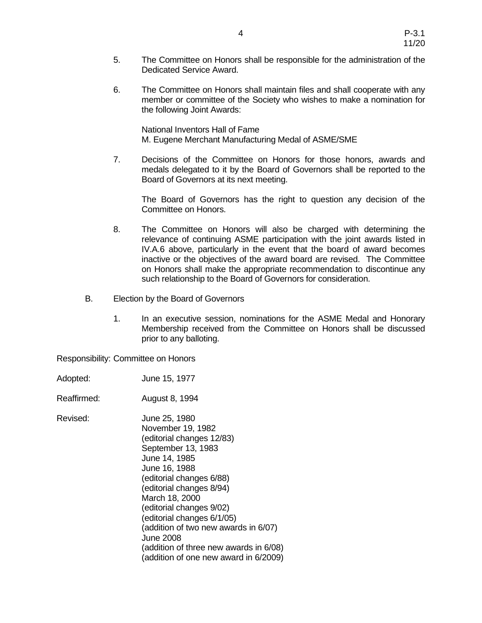- 5. The Committee on Honors shall be responsible for the administration of the Dedicated Service Award.
- 6. The Committee on Honors shall maintain files and shall cooperate with any member or committee of the Society who wishes to make a nomination for the following Joint Awards:

National Inventors Hall of Fame M. Eugene Merchant Manufacturing Medal of ASME/SME

7. Decisions of the Committee on Honors for those honors, awards and medals delegated to it by the Board of Governors shall be reported to the Board of Governors at its next meeting.

The Board of Governors has the right to question any decision of the Committee on Honors.

- 8. The Committee on Honors will also be charged with determining the relevance of continuing ASME participation with the joint awards listed in IV.A.6 above, particularly in the event that the board of award becomes inactive or the objectives of the award board are revised. The Committee on Honors shall make the appropriate recommendation to discontinue any such relationship to the Board of Governors for consideration.
- B. Election by the Board of Governors
	- 1. In an executive session, nominations for the ASME Medal and Honorary Membership received from the Committee on Honors shall be discussed prior to any balloting.

Responsibility: Committee on Honors

- Adopted: June 15, 1977
- Reaffirmed: August 8, 1994

Revised: June 25, 1980 November 19, 1982 (editorial changes 12/83) September 13, 1983 June 14, 1985 June 16, 1988 (editorial changes 6/88) (editorial changes 8/94) March 18, 2000 (editorial changes 9/02) (editorial changes 6/1/05) (addition of two new awards in 6/07) June 2008 (addition of three new awards in 6/08) (addition of one new award in 6/2009)